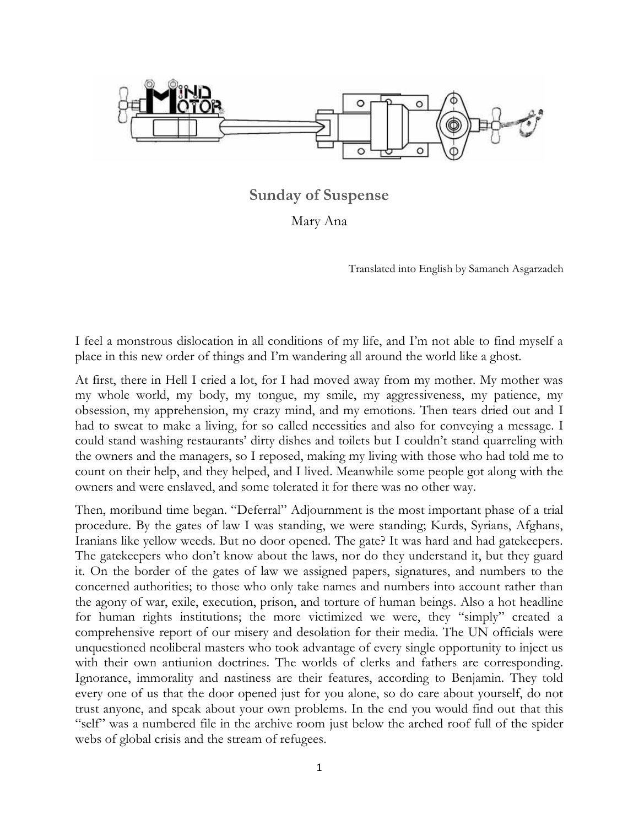

**Sunday of Suspense**

Mary Ana

Translated into English by Samaneh Asgarzadeh

I feel a monstrous dislocation in all conditions of my life, and I'm not able to find myself a place in this new order of things and I'm wandering all around the world like a ghost.

At first, there in Hell I cried a lot, for I had moved away from my mother. My mother was my whole world, my body, my tongue, my smile, my aggressiveness, my patience, my obsession, my apprehension, my crazy mind, and my emotions. Then tears dried out and I had to sweat to make a living, for so called necessities and also for conveying a message. I could stand washing restaurants' dirty dishes and toilets but I couldn't stand quarreling with the owners and the managers, so I reposed, making my living with those who had told me to count on their help, and they helped, and I lived. Meanwhile some people got along with the owners and were enslaved, and some tolerated it for there was no other way.

Then, moribund time began. "Deferral" Adjournment is the most important phase of a trial procedure. By the gates of law I was standing, we were standing; Kurds, Syrians, Afghans, Iranians like yellow weeds. But no door opened. The gate? It was hard and had gatekeepers. The gatekeepers who don't know about the laws, nor do they understand it, but they guard it. On the border of the gates of law we assigned papers, signatures, and numbers to the concerned authorities; to those who only take names and numbers into account rather than the agony of war, exile, execution, prison, and torture of human beings. Also a hot headline for human rights institutions; the more victimized we were, they "simply" created a comprehensive report of our misery and desolation for their media. The UN officials were unquestioned neoliberal masters who took advantage of every single opportunity to inject us with their own antiunion doctrines. The worlds of clerks and fathers are corresponding. Ignorance, immorality and nastiness are their features, according to Benjamin. They told every one of us that the door opened just for you alone, so do care about yourself, do not trust anyone, and speak about your own problems. In the end you would find out that this "self" was a numbered file in the archive room just below the arched roof full of the spider webs of global crisis and the stream of refugees.